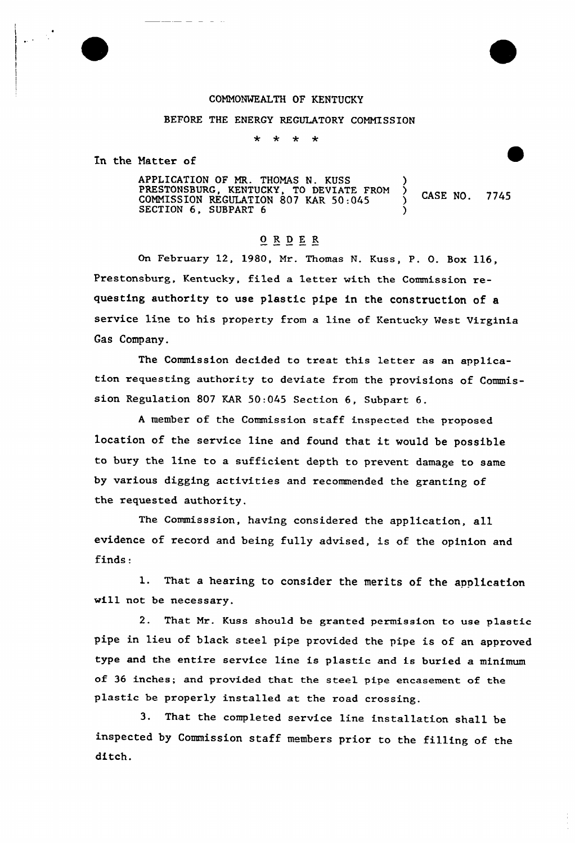

## COMMONWEALTH OF KENTUCKY

## BEFORE THE ENERGY REGULATORY COMMISSION

 $\star$  $\star$  $\star$  $\star$ 

In the Matter of

APPLICATION OF MR. THOMAS N. KUSS ) PRESTONSBURG, KENTUCKY, TO DEVIATE FROM )<br>COMMISSION REGULATION 807 KAR 50:045 ) CASE NO. 7745  $SECTION 6, SUBPART 6$  )

## $0 R D E R$

On February 12, 1980, Mr. Thomas N. Kuss, P. O. Box 116, Prestonsburg, Kentucky, filed a letter with the Commission requesting authority to use plastic pipe in the construction of a service line to his property from a line of Kentucky West Virginia Gas Company.

The Commission decided to treat this letter as an application requesting authority to deviate from the provisions of Commission Regulation 807 KAR 50:045 Section 6, Subpart 6.

<sup>A</sup> member of the Commission staff inspected the proposed location of the service line and found that it would be possible to bury the line to a sufficient depth to prevent damage to same by various digging activities and recommended the granting of the requested authority.

The Commisssion, having considered the application, all evidence of record and being fully advised, is of the opinion and finds:

1. That <sup>a</sup> hearing to consider the merits of the application will not be necessary.

2. That Mr. Kuss should be granted permission to use plastic pipe in lieu of black steel pipe provided the pipe is of an approved type and the entire service line is plastic and is buried a minimum of 36 inches; and provided that the steel pipe encasement of the plastic be properly installed at the road crossing.

3. That the completed service line installation shall be inspected by Commission staff members prior to the filling of the ditch.